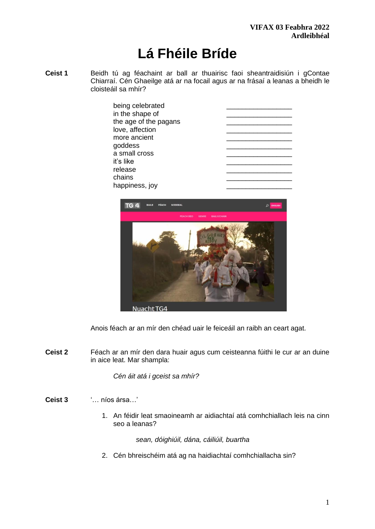# **Lá Fhéile Bríde**

**Ceist 1** Beidh tú ag féachaint ar ball ar thuairisc faoi sheantraidisiún i gContae Chiarraí. Cén Ghaeilge atá ar na focail agus ar na frásaí a leanas a bheidh le cloisteáil sa mhír?

| being celebrated      |  |
|-----------------------|--|
| in the shape of       |  |
| the age of the pagans |  |
| love, affection       |  |
| more ancient          |  |
| goddess               |  |
| a small cross         |  |
| it's like             |  |
| release               |  |
| chains                |  |
| happiness, joy        |  |



Anois féach ar an mír den chéad uair le feiceáil an raibh an ceart agat.

**Ceist 2** Féach ar an mír den dara huair agus cum ceisteanna fúithi le cur ar an duine in aice leat. Mar shampla:

*Cén áit atá i gceist sa mhír?*

- **Ceist 3** '… níos ársa…'
	- 1. An féidir leat smaoineamh ar aidiachtaí atá comhchiallach leis na cinn seo a leanas?

*sean, dóighiúil, dána, cáiliúil, buartha* 

2. Cén bhreischéim atá ag na haidiachtaí comhchiallacha sin?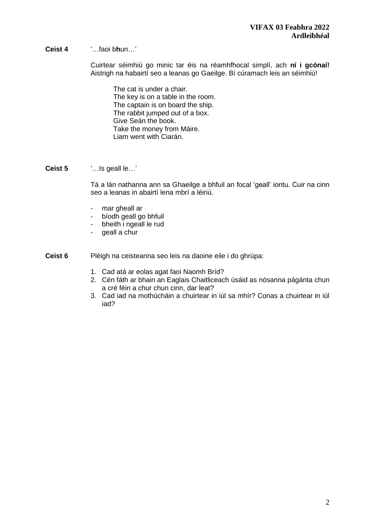**Ceist 4** '…faoi b**h**un…'

Cuirtear séimhiú go minic tar éis na réamhfhocal simplí, ach **ní i gcónaí!** Aistrigh na habairtí seo a leanas go Gaeilge. Bí cúramach leis an séimhiú!

The cat is under a chair. The key is on a table in the room. The captain is on board the ship. The rabbit jumped out of a box. Give Seán the book. Take the money from Máire. Liam went with Ciarán.

**Ceist 5** '…Is geall le…'

Tá a lán nathanna ann sa Ghaeilge a bhfuil an focal 'geall' iontu. Cuir na cinn seo a leanas in abairtí lena mbrí a léiriú.

- mar gheall ar
- bíodh geall go bhfuil
- bheith i ngeall le rud
- geall a chur

**Ceist 6** Pléigh na ceisteanna seo leis na daoine eile i do ghrúpa:

- 1. Cad atá ar eolas agat faoi Naomh Bríd?
- 2. Cén fáth ar bhain an Eaglais Chaitliceach úsáid as nósanna págánta chun a cré féin a chur chun cinn, dar leat?
- 3. Cad iad na mothúcháin a chuirtear in iúl sa mhír? Conas a chuirtear in iúl iad?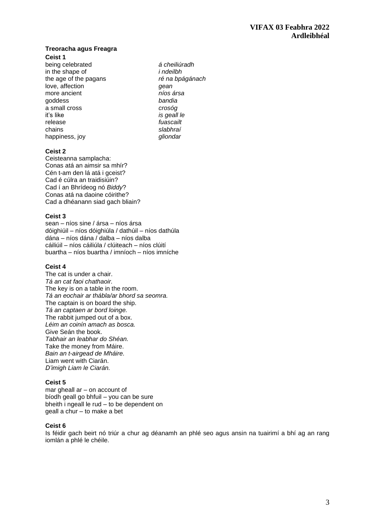#### **Treoracha agus Freagra Ceist 1**

being celebrated *á cheiliúradh*  in the shape of *i* ndeilbh<br>the age of the pagans *i* ndeilbh<br>ré na bpágánach the age of the pagans love, affection *gean* more ancient *níos ársa* goddess *bandia*  a small cross *crosóg*  release *fuascailt*  happiness, joy

is geall le slabhraí<br>*gliondar* 

#### **Ceist 2**

Ceisteanna samplacha: Conas atá an aimsir sa mhír? Cén t-am den lá atá i gceist? Cad é cúlra an traidisiúin? Cad í an Bhrídeog nó *Biddy*? Conas atá na daoine cóirithe? Cad a dhéanann siad gach bliain?

#### **Ceist 3**

sean – níos sine / ársa – níos ársa dóighiúil – níos dóighiúla / dathúil – níos dathúla dána – níos dána / dalba – níos dalba cáiliúil – níos cáiliúla / clúiteach – níos clúití buartha – níos buartha / imníoch – níos imníche

#### **Ceist 4**

The cat is under a chair. *Tá an cat faoi chathaoir.* The key is on a table in the room. *Tá an eochair ar thábla/ar bhord sa seomra.* The captain is on board the ship. *Tá an captaen ar bord loinge.*  The rabbit jumped out of a box. *Léim an coinín amach as bosca.* Give Seán the book. *Tabhair an leabhar do Shéan.* Take the money from Máire. *Bain an t-airgead de Mháire.* Liam went with Ciarán. *D'imigh Liam le Ciarán.*

#### **Ceist 5**

mar gheall ar – on account of bíodh geall go bhfuil – you can be sure bheith i ngeall le rud – to be dependent on geall a chur – to make a bet

#### **Ceist 6**

Is féidir gach beirt nó triúr a chur ag déanamh an phlé seo agus ansin na tuairimí a bhí ag an rang iomlán a phlé le chéile.